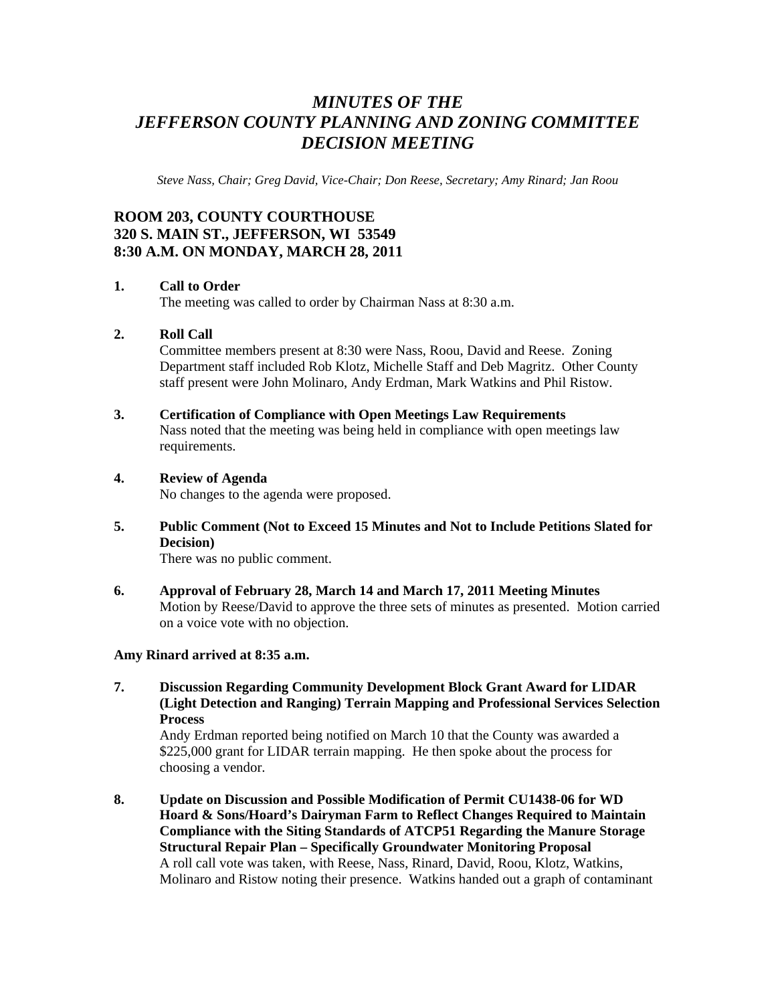# *MINUTES OF THE JEFFERSON COUNTY PLANNING AND ZONING COMMITTEE DECISION MEETING*

*Steve Nass, Chair; Greg David, Vice-Chair; Don Reese, Secretary; Amy Rinard; Jan Roou* 

# **ROOM 203, COUNTY COURTHOUSE 320 S. MAIN ST., JEFFERSON, WI 53549 8:30 A.M. ON MONDAY, MARCH 28, 2011**

# **1. Call to Order**

The meeting was called to order by Chairman Nass at 8:30 a.m.

#### **2. Roll Call**

Committee members present at 8:30 were Nass, Roou, David and Reese. Zoning Department staff included Rob Klotz, Michelle Staff and Deb Magritz. Other County staff present were John Molinaro, Andy Erdman, Mark Watkins and Phil Ristow.

#### **3. Certification of Compliance with Open Meetings Law Requirements**

Nass noted that the meeting was being held in compliance with open meetings law requirements.

#### **4. Review of Agenda**

No changes to the agenda were proposed.

**5. Public Comment (Not to Exceed 15 Minutes and Not to Include Petitions Slated for Decision)** 

There was no public comment.

**6. Approval of February 28, March 14 and March 17, 2011 Meeting Minutes**  Motion by Reese/David to approve the three sets of minutes as presented. Motion carried on a voice vote with no objection.

#### **Amy Rinard arrived at 8:35 a.m.**

**7. Discussion Regarding Community Development Block Grant Award for LIDAR (Light Detection and Ranging) Terrain Mapping and Professional Services Selection Process** 

Andy Erdman reported being notified on March 10 that the County was awarded a \$225,000 grant for LIDAR terrain mapping. He then spoke about the process for choosing a vendor.

**8. Update on Discussion and Possible Modification of Permit CU1438-06 for WD Hoard & Sons/Hoard's Dairyman Farm to Reflect Changes Required to Maintain Compliance with the Siting Standards of ATCP51 Regarding the Manure Storage Structural Repair Plan – Specifically Groundwater Monitoring Proposal**  A roll call vote was taken, with Reese, Nass, Rinard, David, Roou, Klotz, Watkins, Molinaro and Ristow noting their presence. Watkins handed out a graph of contaminant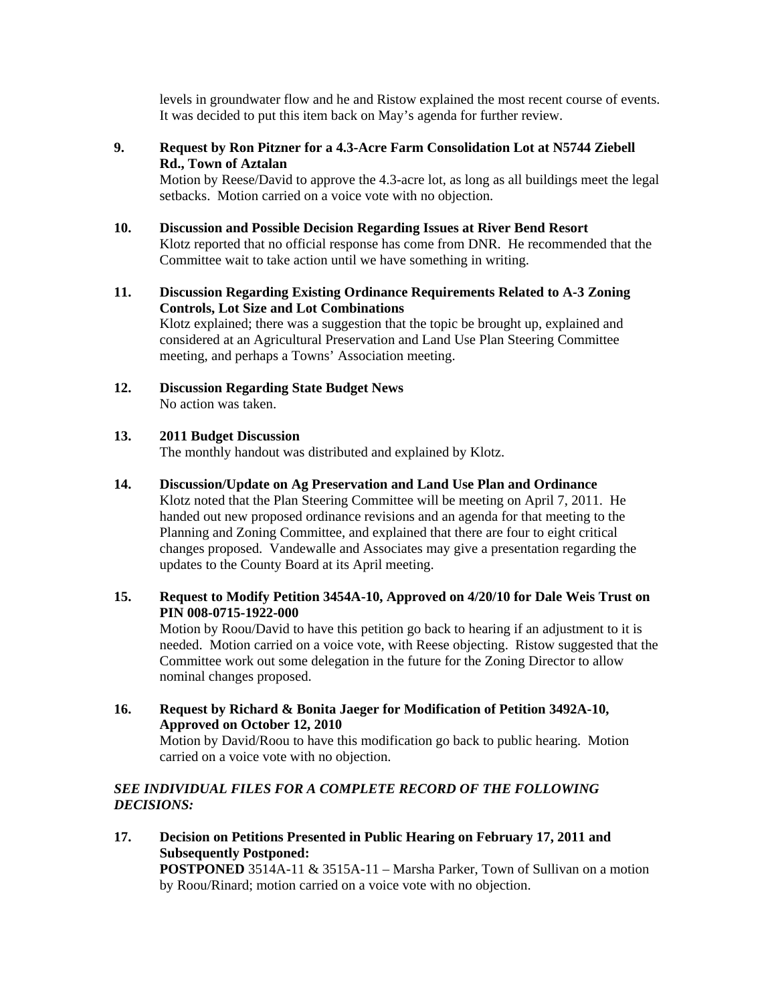levels in groundwater flow and he and Ristow explained the most recent course of events. It was decided to put this item back on May's agenda for further review.

**9. Request by Ron Pitzner for a 4.3-Acre Farm Consolidation Lot at N5744 Ziebell Rd., Town of Aztalan** 

Motion by Reese/David to approve the 4.3-acre lot, as long as all buildings meet the legal setbacks. Motion carried on a voice vote with no objection.

- **10. Discussion and Possible Decision Regarding Issues at River Bend Resort**  Klotz reported that no official response has come from DNR. He recommended that the Committee wait to take action until we have something in writing.
- **11. Discussion Regarding Existing Ordinance Requirements Related to A-3 Zoning Controls, Lot Size and Lot Combinations**  Klotz explained; there was a suggestion that the topic be brought up, explained and considered at an Agricultural Preservation and Land Use Plan Steering Committee meeting, and perhaps a Towns' Association meeting.
- **12. Discussion Regarding State Budget News**  No action was taken.

#### **13. 2011 Budget Discussion**

The monthly handout was distributed and explained by Klotz.

# **14. Discussion/Update on Ag Preservation and Land Use Plan and Ordinance**

Klotz noted that the Plan Steering Committee will be meeting on April 7, 2011. He handed out new proposed ordinance revisions and an agenda for that meeting to the Planning and Zoning Committee, and explained that there are four to eight critical changes proposed. Vandewalle and Associates may give a presentation regarding the updates to the County Board at its April meeting.

# **15. Request to Modify Petition 3454A-10, Approved on 4/20/10 for Dale Weis Trust on PIN 008-0715-1922-000**

Motion by Roou/David to have this petition go back to hearing if an adjustment to it is needed. Motion carried on a voice vote, with Reese objecting. Ristow suggested that the Committee work out some delegation in the future for the Zoning Director to allow nominal changes proposed.

**16. Request by Richard & Bonita Jaeger for Modification of Petition 3492A-10, Approved on October 12, 2010** 

Motion by David/Roou to have this modification go back to public hearing. Motion carried on a voice vote with no objection.

# *SEE INDIVIDUAL FILES FOR A COMPLETE RECORD OF THE FOLLOWING DECISIONS:*

**17. Decision on Petitions Presented in Public Hearing on February 17, 2011 and Subsequently Postponed: POSTPONED** 3514A-11 & 3515A-11 – Marsha Parker, Town of Sullivan on a motion by Roou/Rinard; motion carried on a voice vote with no objection.